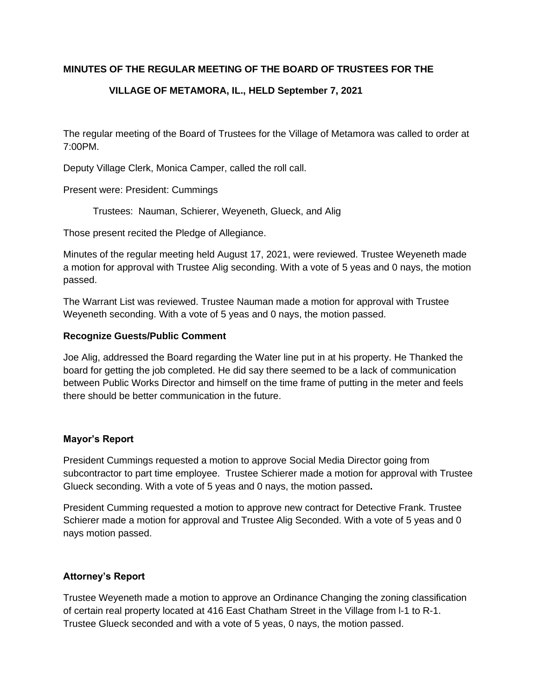# **MINUTES OF THE REGULAR MEETING OF THE BOARD OF TRUSTEES FOR THE**

# **VILLAGE OF METAMORA, IL., HELD September 7, 2021**

The regular meeting of the Board of Trustees for the Village of Metamora was called to order at 7:00PM.

Deputy Village Clerk, Monica Camper, called the roll call.

Present were: President: Cummings

Trustees: Nauman, Schierer, Weyeneth, Glueck, and Alig

Those present recited the Pledge of Allegiance.

Minutes of the regular meeting held August 17, 2021, were reviewed. Trustee Weyeneth made a motion for approval with Trustee Alig seconding. With a vote of 5 yeas and 0 nays, the motion passed.

The Warrant List was reviewed. Trustee Nauman made a motion for approval with Trustee Weyeneth seconding. With a vote of 5 yeas and 0 nays, the motion passed.

### **Recognize Guests/Public Comment**

Joe Alig, addressed the Board regarding the Water line put in at his property. He Thanked the board for getting the job completed. He did say there seemed to be a lack of communication between Public Works Director and himself on the time frame of putting in the meter and feels there should be better communication in the future.

### **Mayor's Report**

President Cummings requested a motion to approve Social Media Director going from subcontractor to part time employee. Trustee Schierer made a motion for approval with Trustee Glueck seconding. With a vote of 5 yeas and 0 nays, the motion passed**.** 

President Cumming requested a motion to approve new contract for Detective Frank. Trustee Schierer made a motion for approval and Trustee Alig Seconded. With a vote of 5 yeas and 0 nays motion passed.

### **Attorney's Report**

Trustee Weyeneth made a motion to approve an Ordinance Changing the zoning classification of certain real property located at 416 East Chatham Street in the Village from l-1 to R-1. Trustee Glueck seconded and with a vote of 5 yeas, 0 nays, the motion passed.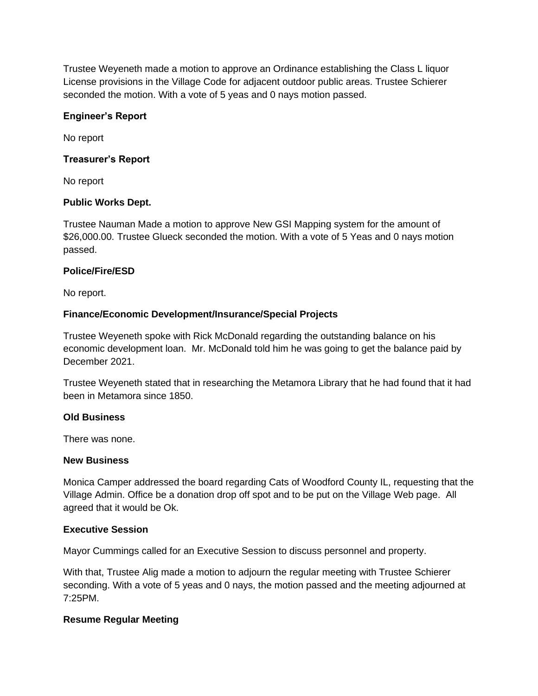Trustee Weyeneth made a motion to approve an Ordinance establishing the Class L liquor License provisions in the Village Code for adjacent outdoor public areas. Trustee Schierer seconded the motion. With a vote of 5 yeas and 0 nays motion passed.

### **Engineer's Report**

No report

### **Treasurer's Report**

No report

### **Public Works Dept.**

Trustee Nauman Made a motion to approve New GSI Mapping system for the amount of \$26,000.00. Trustee Glueck seconded the motion. With a vote of 5 Yeas and 0 nays motion passed.

### **Police/Fire/ESD**

No report.

# **Finance/Economic Development/Insurance/Special Projects**

Trustee Weyeneth spoke with Rick McDonald regarding the outstanding balance on his economic development loan. Mr. McDonald told him he was going to get the balance paid by December 2021.

Trustee Weyeneth stated that in researching the Metamora Library that he had found that it had been in Metamora since 1850.

# **Old Business**

There was none.

### **New Business**

Monica Camper addressed the board regarding Cats of Woodford County IL, requesting that the Village Admin. Office be a donation drop off spot and to be put on the Village Web page. All agreed that it would be Ok.

### **Executive Session**

Mayor Cummings called for an Executive Session to discuss personnel and property.

With that, Trustee Alig made a motion to adjourn the regular meeting with Trustee Schierer seconding. With a vote of 5 yeas and 0 nays, the motion passed and the meeting adjourned at 7:25PM.

# **Resume Regular Meeting**